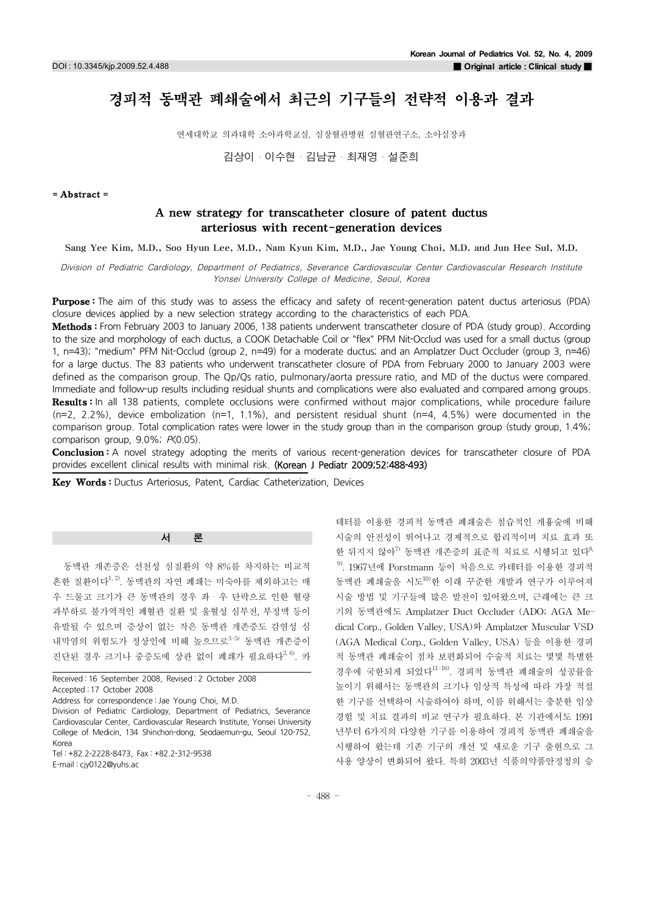# 경피적 동맥관 폐쇄술에서 최근의 기구들의 전략적 이용과 결과

연세대학교 의과대학 소아과학교실, 심장혈관병원 심혈관연구소, 소아심장과

김상이・이수현・김남균・최재영・설준희

#### =Abstract=

# A new strategy for transcatheter closure of patent ductus arteriosus with recent-generation devices

Sang Yee Kim, M.D., Soo Hyun Lee, M.D., Nam Kyun Kim, M.D., Jae Young Choi, M.D. and Jun Hee Sul, M.D.

Division of Pediatric Cardiology, Department of Pediatrics, Severance Cardiovascular Center Cardiovascular Research Institute Yonsei University College of Medicine, Seoul, Korea

Purpose: The aim of this study was to assess the efficacy and safety of recent-generation patent ductus arteriosus (PDA) closure devices applied by a new selection strategy according to the characteristics of each PDA.

Methods: From February 2003 to January 2006, 138 patients underwent transcatheter closure of PDA (study group). According to the size and morphology of each ductus, a COOK Detachable Coil or "flex" PFM Nit-Occlud was used for a small ductus (group 1, n=43); "medium" PFM Nit-Occlud (group 2, n=49) for a moderate ductus; and an Amplatzer Duct Occluder (group 3, n=46) for a large ductus. The 83 patients who underwent transcatheter closure of PDA from February 2000 to January 2003 were defined as the comparison group. The Qp/Qs ratio, pulmonary/aorta pressure ratio, and MD of the ductus were compared. Immediate and follow-up results including residual shunts and complications were also evaluated and compared among groups. Results: In all 138 patients, complete occlusions were confirmed without major complications, while procedure failure  $(n=2, 2.2%)$ , device embolization  $(n=1, 1.1%)$ , and persistent residual shunt  $(n=4, 4.5%)$  were documented in the comparison group. Total complication rates were lower in the study group than in the comparison group (study group, 1.4%; comparison group, 9.0%; P(0.05).

Conclusion: A novel strategy adopting the merits of various recent-generation devices for transcatheter closure of PDA provides excellent clinical results with minimal risk. (Korean J Pediatr 2009;52:488-493)

Key Words: Ductus Arteriosus, Patent, Cardiac Catheterization, Devices

# 서 론

동맥관 개존증은 선천성 심질환의 약 8%를 차지하는 비교적 흔한 질환이다<sup>1, 2)</sup>. 동맥관의 자연 폐쇄는 미숙아를 제외하고는 매 우 드물고 크기가 큰 동맥관의 경우 좌・우 단락으로 인한 혈량 과부하로 불가역적인 폐혈관 질환 및 울혈성 심부전,부정맥 등이 유발될 수 있으며 증상이 없는 작은 동맥관 개존증도 감염성 심 내막염의 위험도가 정상인에 비해 높으므로<sup>3-5)</sup> 동맥관 개존증이 진단된 경우 크기나 중증도에 상관 없이 폐쇄가 필요하다<sup>2,6)</sup>. 카

Received : 16 September 2008, Revised : 2 October 2008 Accepted : 17 October 2008 Address for correspondence : Jae Young Choi, M.D. Division of Pediatric Cardiology, Department of Pediatrics, Severance Cardiovascular Center, Cardiovascular Research Institute, Yonsei University College of Medicin, 134 Shinchon-dong, Seodaemun-gu, Seoul 120-752, Korea

Tel : +82.2-2228-8473, Fax : +82.2-312-9538 E-mail : cjy0122@yuhs.ac

테터를 이용한 경피적 동맥관 폐쇄술은 침습적인 개흉술에 비해 시술의 안전성이 뛰어나고 경제적으로 합리적이며 치료 효과 또 한 뒤지지 않아<sup>7)</sup> 동맥관 개존증의 표준적 치료로 시행되고 있다<sup>8,</sup>  $9$ . 1967년에 Porstmann 등이 처음으로 카테터를 이용한 경피적 동맥관 폐쇄술을 시도10)한 이래 꾸준한 개발과 연구가 이루어져 시술 방법 및 기구들에 많은 발전이 있어왔으며,근래에는 큰 크 기의 동맥관에도 Amplatzer Duct Occluder (ADO; AGA Medical Corp., Golden Valley, USA)와 Amplatzer Muscular VSD (AGA Medical Corp., Golden Valley, USA) 등을 이용한 경피 적 동맥관 폐쇄술이 점차 보편화되어 수술적 치료는 몇몇 특별한 경우에 국한되게 되었다11-16).경피적 동맥관 폐쇄술의 성공률을 높이기 위해서는 동맥관의 크기나 임상적 특성에 따라 가장 적절 한 기구를 선택하여 시술하여야 하며,이를 위해서는 충분한 임상 경험 및 치료 결과의 비교 연구가 필요하다. 본 기관에서도 1991 년부터 6가지의 다양한 기구를 이용하여 경피적 동맥관 폐쇄술을 시행하여 왔는데 기존 기구의 개선 및 새로운 기구 출현으로 그 사용 양상이 변화되어 왔다.특히 2003년 식품의약품안정청의 승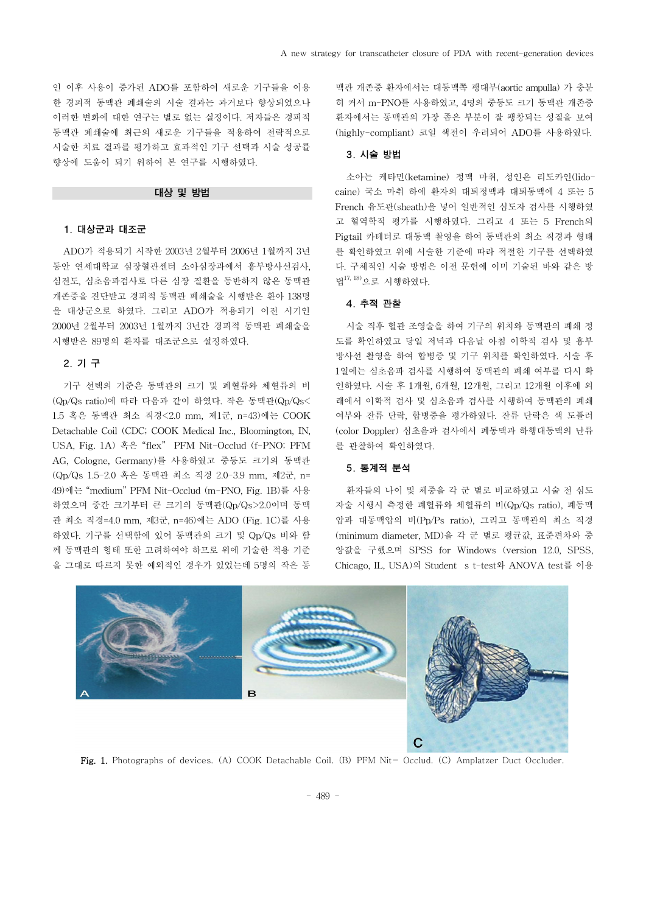인 이후 사용이 증가된 ADO를 포함하여 새로운 기구들을 이용 한 경피적 동맥관 폐쇄술의 시술 결과는 과거보다 향상되었으나 이러한 변화에 대한 연구는 별로 없는 실정이다. 저자들은 경피적 동맥관 폐쇄술에 최근의 새로운 기구들을 적용하여 전략적으로 시술한 치료 결과를 평가하고 효과적인 기구 선택과 시술 성공률 향상에 도움이 되기 위하여 본 연구를 시행하였다.

#### 대상 및 방법

### 1.대상군과 대조군

ADO가 적용되기 시작한 2003년 2월부터 2006년 1월까지 3년 동안 연세대학교 심장혈관센터 소아심장과에서 흉부방사선검사, 심전도,심초음파검사로 다른 심장 질환을 동반하지 않은 동맥관 개존증을 진단받고 경피적 동맥관 폐쇄술을 시행받은 환아 138명 을 대상군으로 하였다.그리고 ADO가 적용되기 이전 시기인 2000년 2월부터 2003년 1월까지 3년간 경피적 동맥관 폐쇄술을 시행받은 89명의 환자를 대조군으로 설정하였다.

## 2.기 구

기구 선택의 기준은 동맥관의 크기 및 폐혈류와 체혈류의 비  $(Q<sub>D</sub>/Q<sub>S</sub>$  ratio)에 따라 다음과 같이 하였다. 작은 동맥관 $(Q<sub>D</sub>/Q<sub>S</sub>$ < 1.5혹은 동맥관 최소 직경<2.0mm,제1군,n=43)에는 COOK Detachable Coil (CDC; COOK Medical Inc., Bloomington, IN, USA, Fig. 1A) 혹은 "flex" PFM Nit-Occlud (f-PNO; PFM AG,Cologne,Germany)를 사용하였고 중등도 크기의 동맥관 (Qp/Qs 1.5-2.0 혹은 동맥관 최소 직경 2.0-3.9 mm, 제2군, n= 49)에는 "medium"PFM Nit-Occlud(m-PNO,Fig.1B)를 사용 하였으며 중간 크기부터 큰 크기의 동맥관(Qp/Qs>2.0이며 동맥 관 최소 직경=4.0 mm, 제3군, n=46)에는 ADO (Fig. 1C)를 사용 하였다.기구를 선택함에 있어 동맥관의 크기 및 Qp/Qs비와 함 께 동맥관의 형태 또한 고려하여야 하므로 위에 기술한 적용 기준 을 그대로 따르지 못한 예외적인 경우가 있었는데 5명의 작은 동

맥관 개존증 환자에서는 대동맥쪽 팽대부(aorticampulla)가 충분 히 커서 m-PNO를 사용하였고,4명의 중등도 크기 동맥관 개존증 환자에서는 동맥관의 가장 좁은 부분이 잘 팽창되는 성질을 보여 (highly-compliant)코일 색전이 우려되어 ADO를 사용하였다.

#### 3.시술 방법

소아는 케타민(ketamine)정맥 마취,성인은 리도카인(lidocaine) 국소 마취 하에 환자의 대퇴정맥과 대퇴동맥에 4 또는 5 French 유도관(sheath)을 넣어 일반적인 심도자 검사를 시행하였 고 혈역학적 평가를 시행하였다.그리고 4 또는 5 French의 Pigtail카테터로 대동맥 촬영을 하여 동맥관의 최소 직경과 형태 를 확인하였고 위에 서술한 기준에 따라 적절한 기구를 선택하였 다.구체적인 시술 방법은 이전 문헌에 이미 기술된 바와 같은 방 법 17,18)으로 시행하였다.

#### 4.추적 관찰

시술 직후 혈관 조영술을 하여 기구의 위치와 동맥관의 폐쇄 정 도를 확인하였고 당일 저녁과 다음날 아침 이학적 검사 및 흉부 방사선 촬영을 하여 합병증 및 기구 위치를 확인하였다.시술 후 1일에는 심초음파 검사를 시행하여 동맥관의 폐쇄 여부를 다시 확 인하였다.시술 후 1개월,6개월,12개월,그리고 12개월 이후에 외 래에서 이학적 검사 및 심초음파 검사를 시행하여 동맥관의 폐쇄 여부와 잔류 단락, 합병증을 평가하였다. 잔류 단락은 색 도플러 (colorDoppler)심초음파 검사에서 폐동맥과 하행대동맥의 난류 를 관찰하여 확인하였다.

#### 5.통계적 분석

환자들의 나이 및 체중을 각 군 별로 비교하였고 시술 전 심도 자술 시행시 측정한 폐혈류와 체혈류의 비(Qp/Qsratio),폐동맥 압과 대동맥압의 비(Pp/Psratio),그리고 동맥관의 최소 직경 (minimum diameter,MD)을 각 군 별로 평균값,표준편차와 중 앙값을 구했으며 SPSS for Windows (version 12.0, SPSS, Chicago,IL,USA)의 Student st-test와 ANOVA test를 이용



Fig. 1. Photographs of devices. (A) COOK Detachable Coil. (B) PFM Nit- Occlud. (C) Amplatzer Duct Occluder.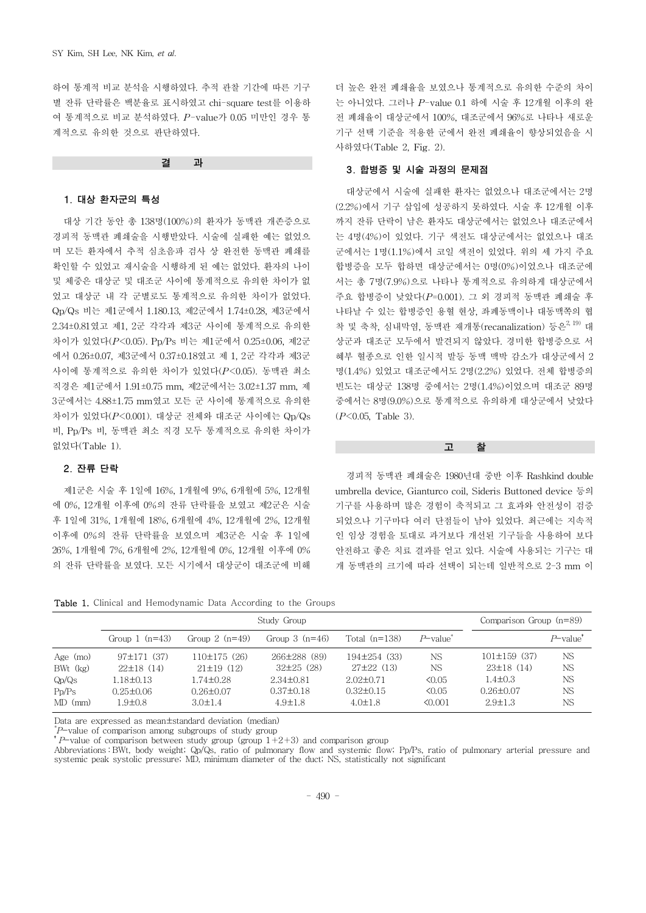하여 통계적 비교 분석을 시행하였다.추적 관찰 기간에 따른 기구 별 잔류 단락률은 백분율로 표시하였고 chi-square test를 이용하 여 통계적으로 비교 분석하였다.*P*-value가 0.05미만인 경우 통 계적으로 유의한 것으로 판단하였다.

결 과

#### 1.대상 환자군의 특성

대상 기간 동안 총 138명(100%)의 환자가 동맥관 개존증으로 경피적 동맥관 폐쇄술을 시행받았다.시술에 실패한 예는 없었으 며 모든 환자에서 추적 심초음파 검사 상 완전한 동맥관 폐쇄를 확인할 수 있었고 재시술을 시행하게 된 예는 없었다. 환자의 나이 및 체중은 대상군 및 대조군 사이에 통계적으로 유의한 차이가 없 었고 대상군 내 각 군별로도 통계적으로 유의한 차이가 없었다. Qp/Qs 비는 제1군에서 1.180.13, 제2군에서 1.74±0.28, 제3군에서 2.34±0.81였고 제1,2군 각각과 제3군 사이에 통계적으로 유의한 차이가 있었다(P<0.05). Pp/Ps 비는 제1군에서 0.25±0.06, 제2군 에서 0.26±0.07,제3군에서 0.37±0.18였고 제 1,2군 각각과 제3군 사이에 통계적으로 유의한 차이가 있었다(*P*<0.05).동맥관 최소 직경은 제1군에서 1.91±0.75 mm, 제2군에서는 3.02±1.37 mm, 제 3군에서는 4.88±1.75mm였고 모든 군 사이에 통계적으로 유의한 차이가 있었다(*P*<0.001).대상군 전체와 대조군 사이에는 Qp/Qs 비,Pp/Ps비,동맥관 최소 직경 모두 통계적으로 유의한 차이가 없었다(Table 1).

## 2.잔류 단락

제1군은 시술 후 1일에 16%,1개월에 9%,6개월에 5%,12개월 에 0%,12개월 이후에 0%의 잔류 단락률을 보였고 제2군은 시술 후 1일에 31%,1개월에 18%,6개월에 4%,12개월에 2%,12개월 이후에 0%의 잔류 단락률을 보였으며 제3군은 시술 후 1일에 26%,1개월에 7%,6개월에 2%,12개월에 0%,12개월 이후에 0% 의 잔류 단락률을 보였다.모든 시기에서 대상군이 대조군에 비해

더 높은 완전 폐쇄율을 보였으나 통계적으로 유의한 수준의 차이 는 아니었다.그러나 *P*-value0.1하에 시술 후 12개월 이후의 완 전 폐쇄율이 대상군에서 100%,대조군에서 96%로 나타나 새로운 기구 선택 기준을 적용한 군에서 완전 폐쇄율이 향상되었음을 시 사하였다(Table2,Fig.2).

#### 3.합병증 및 시술 과정의 문제점

대상군에서 시술에 실패한 환자는 없었으나 대조군에서는 2명 (2.2%)에서 기구 삽입에 성공하지 못하였다. 시술 후 12개월 이후 까지 잔류 단락이 남은 환자도 대상군에서는 없었으나 대조군에서 는 4명(4%)이 있었다.기구 색전도 대상군에서는 없었으나 대조 군에서는 1명(1.1%)에서 코일 색전이 있었다. 위의 세 가지 주요 합병증을 모두 합하면 대상군에서는 0명(0%)이었으나 대조군에 서는 총 7명(7.9%)으로 나타나 통계적으로 유의하게 대상군에서 주요 합병증이 낮았다(*P*=0.001).그 외 경피적 동맥관 폐쇄술 후 나타날 수 있는 합병증인 용혈 현상,좌폐동맥이나 대동맥쪽의 협 착 및 축착, 심내막염, 동맥관 재개통(recanalization) 등은 $^{2,\,19)}$  대 상군과 대조군 모두에서 발견되지 않았다.경미한 합병증으로 서 혜부 혈종으로 인한 일시적 발등 동맥 맥박 감소가 대상군에서 2 명(1.4%) 있었고 대조군에서도 2명(2.2%) 있었다. 전체 합병증의 빈도는 대상군 138명 중에서는 2명(1.4%)이었으며 대조군 89명 중에서는 8명(9.0%)으로 통계적으로 유의하게 대상군에서 낮았다 (*P*<0.05, Table 3).

고 찰

경피적 동맥관 폐쇄술은 1980년대 중반 이후 Rashkind double umbrella device, Gianturco coil, Sideris Buttoned device 등의 기구를 사용하며 많은 경험이 축적되고 그 효과와 안전성이 검증 되었으나 기구마다 여러 단점들이 남아 있었다. 최근에는 지속적 인 임상 경험을 토대로 과거보다 개선된 기구들을 사용하여 보다 안전하고 좋은 치료 결과를 얻고 있다.시술에 사용되는 기구는 대 개 동맥관의 크기에 따라 선택이 되는데 일반적으로 2-3mm 이

Table 1. Clinical and Hemodynamic Data According to the Groups

|                                              | Study Group                                                    |                                                                 |                                                                    |                                                                    |                                                | Comparison Group $(n=89)$                                           |                                                  |
|----------------------------------------------|----------------------------------------------------------------|-----------------------------------------------------------------|--------------------------------------------------------------------|--------------------------------------------------------------------|------------------------------------------------|---------------------------------------------------------------------|--------------------------------------------------|
|                                              | Group $1$ (n=43)                                               | Group $2(n=49)$                                                 | Group $3(n=46)$                                                    | Total $(n=138)$                                                    | $P$ value <sup><math>\overline{ }</math></sup> |                                                                     | $P$ -value <sup><math>\overline{ }</math></sup>  |
| Age $(mo)$<br>$BWt$ $(kg)$<br>Qp/Qs<br>Pp/Ps | $97 \pm 171$ (37)<br>22±18(14)<br>1.18±0.13<br>$0.25 \pm 0.06$ | 110±175(26)<br>$21 \pm 19$ (12)<br>1.74±0.28<br>$0.26 \pm 0.07$ | 266±288 (89)<br>$32\pm25$ (28)<br>$2.34\pm0.81$<br>$0.37 \pm 0.18$ | $194\pm254$ (33)<br>$27\pm22$ (13)<br>$2.02+0.71$<br>$0.32\pm0.15$ | NS<br>NS<br>50.05<br>50.05                     | $101 \pm 159$ (37)<br>23±18(14)<br>$1.4 \pm 0.3$<br>$0.26 \pm 0.07$ | <b>NS</b><br><b>NS</b><br><b>NS</b><br><b>NS</b> |
| $MD$ (mm)                                    | $1.9 \pm 0.8$                                                  | $3.0 \pm 1.4$                                                   | $4.9 \pm 1.8$                                                      | $4.0 \pm 1.8$                                                      | 50.001                                         | $2.9 \pm 1.3$                                                       | <b>NS</b>                                        |

Data are expressed as mean±standard deviation (median)

\* P-value of comparison among subgroups of study group

 $\tau$ -value of comparison between study group (group  $1+2+3$ ) and comparison group

Abbreviations : BWt, body weight; Qp/Qs, ratio of pulmonary flow and systemic flow; Pp/Ps, ratio of pulmonary arterial pressure and systemic peak systolic pressure; MD, minimum diameter of the duct; NS, statistically not significant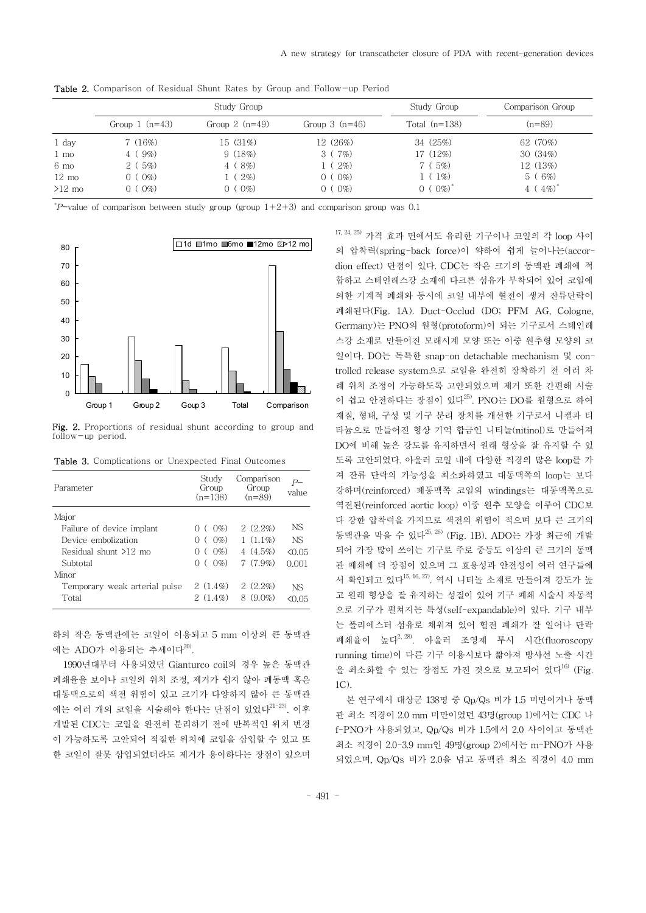|                 | Study Group          |                      |                  | Study Group     | Comparison Group         |  |
|-----------------|----------------------|----------------------|------------------|-----------------|--------------------------|--|
|                 | Group $1$ ( $n=43$ ) | Group $2$ ( $n=49$ ) | Group $3$ (n=46) | Total $(n=138)$ | $(n=89)$                 |  |
| 1 day           | 7(16%)               | 15 (31%)             | 12 (26%)         | 34(25%)         | 62 (70%)                 |  |
| $1 \text{ mo}$  | $4(9\%)$             | 9(18%)               | 3(7%)            | 17 (12%)        | 30(34%)                  |  |
| $6 \text{ mo}$  | 2(5%)                | $4(8\%)$             | $(2\%)$          | 7(5%)           | 12 (13%)                 |  |
| $12 \text{ mo}$ | $0 (0\%)$            | $1(2\%)$             | $0 (0\%)$        | $1\%$           | 5(6%)                    |  |
| $>12$ mo        | $0\%$                | $0 (0\%)$            | $(0\%)$          | $(0\%)$         | 4 ( $4\%$ ) <sup>*</sup> |  |

Table 2. Comparison of Residual Shunt Rates by Group and Follow-up Period

 $P$ -value of comparison between study group (group  $1+2+3$ ) and comparison group was 0.1



Fig. 2. Proportions of residual shunt according to group and follow-up period.

Table 3. Complications or Unexpected Final Outcomes

| Parameter                     | Study<br>Group<br>$(n=138)$               | Comparison<br>Group<br>$(n=89)$ | P—<br>value |
|-------------------------------|-------------------------------------------|---------------------------------|-------------|
| Major                         |                                           |                                 |             |
| Failure of device implant     | $(0\%)$                                   | $2(2.2\%)$                      | NS          |
| Device embolization           | $(0\%)$<br>$\left( \right)$<br>$\sqrt{2}$ | $1(1.1\%)$                      | NS.         |
| Residual shunt >12 mo         | $(0\%)$<br>$\left( \right)$<br>$\left($   | 4(4.5%)                         | < 0.05      |
| Subtotal                      | $(0\%)$<br>∩                              | $7(7.9\%)$                      | 0.001       |
| Minor                         |                                           |                                 |             |
| Temporary weak arterial pulse | $2(1.4\%)$                                | $2(2.2\%)$                      | NS.         |
| Total                         | $2(1.4\%)$                                | $8(9.0\%)$                      |             |

하의 작은 동맥관에는 코일이 이용되고 5mm 이상의 큰 동맥관 에는 ADO가 이용되는 추세이다<sup>20)</sup>.

1990년대부터 사용되었던 Gianturco coil의 경우 높은 동맥관 폐쇄율을 보이나 코일의 위치 조정,제거가 쉽지 않아 폐동맥 혹은 대동맥으로의 색전 위험이 있고 크기가 다양하지 않아 큰 동맥관 에는 여러 개의 코일을 시술해야 한다는 단점이 있었다<sup>21-23)</sup>. 이후 개발된 CDC는 코일을 완전히 분리하기 전에 반복적인 위치 변경 이 가능하도록 고안되어 적절한 위치에 코일을 삽입할 수 있고 또 한 코일이 잘못 삽입되었더라도 제거가 용이하다는 장점이 있으며

 $17, 24, 25$ ) 가격 효과 면에서도 유리한 기구이나 코일의 각 loop 사이 의 압착력(spring-back force)이 약하여 쉽게 늘어나는(accordion effect) 단점이 있다. CDC는 작은 크기의 동맥관 폐쇄에 적 합하고 스테인레스강 소재에 다크론 섬유가 부착되어 있어 코일에 의한 기계적 폐쇄와 동시에 코일 내부에 혈전이 생겨 잔류단락이 폐쇄된다(Fig. 1A). Duct-Occlud (DO; PFM AG, Cologne, Germany)는 PNO의 원형(protoform)이 되는 기구로서 스테인레 스강 소재로 만들어진 모래시계 모양 또는 이중 원추형 모양의 코 일이다. DO는 독특한 snap-on detachable mechanism 및 controlled release system으로 코일을 완전히 장착하기 전 여러 차 례 위치 조정이 가능하도록 고안되었으며 제거 또한 간편해 시술 이 쉽고 안전하다는 장점이 있다<sup>25)</sup>. PNO는 DO를 원형으로 하여 재질,형태,구성 및 기구 분리 장치를 개선한 기구로서 니켈과 티 타늄으로 만들어진 형상 기억 합금인 니티놀(nitinol)로 만들어져 DO에 비해 높은 강도를 유지하면서 원래 형상을 잘 유지할 수 있 도록 고안되었다.아울러 코일 내에 다양한 직경의 많은 loop를 가 져 잔류 단락의 가능성을 최소화하였고 대동맥쪽의 loop는 보다 강하며(reinforced)폐동맥쪽 코일의 windings는 대동맥쪽으로 역전된(reinforcedaorticloop)이중 원추 모양을 이루어 CDC보 다 강한 압착력을 가지므로 색전의 위험이 적으며 보다 큰 크기의 동맥관을 막을 수 있다<sup>25, 26)</sup> (Fig. 1B). ADO는 가장 최근에 개발 되어 가장 많이 쓰이는 기구로 주로 중등도 이상의 큰 크기의 동맥 관 폐쇄에 더 장점이 있으며 그 효용성과 안전성이 여러 연구들에 서 확인되고 있다<sup>15, 16, 27)</sup>. 역시 니티놀 소재로 만들어져 강도가 높 고 원래 형상을 잘 유지하는 성질이 있어 기구 폐쇄 시술시 자동적 으로 기구가 펼쳐지는 특성(self-expandable)이 있다.기구 내부 는 폴리에스터 섬유로 채워져 있어 혈전 폐쇄가 잘 일어나 단락 폐쇄율이 높다<sup>2, 28)</sup>. 아울러 조영제 투시 시간(fluoroscopy running time)이 다른 기구 이용시보다 짧아져 방사선 노출 시간 을 최소화할 수 있는 장점도 가진 것으로 보고되어 있다<sup>16)</sup> (Fig. 1C).

본 연구에서 대상군 138명 중 Qp/Qs 비가 1.5 미만이거나 동맥 관 최소 직경이 2.0 mm 미만이었던 43명(group 1)에서는 CDC 나 f-PNO가 사용되었고,Qp/Qs비가 1.5에서 2.0사이이고 동맥관 최소 직경이 2.0-3.9mm인 49명(group2)에서는 m-PNO가 사용 되었으며,Qp/Qs비가 2.0을 넘고 동맥관 최소 직경이 4.0mm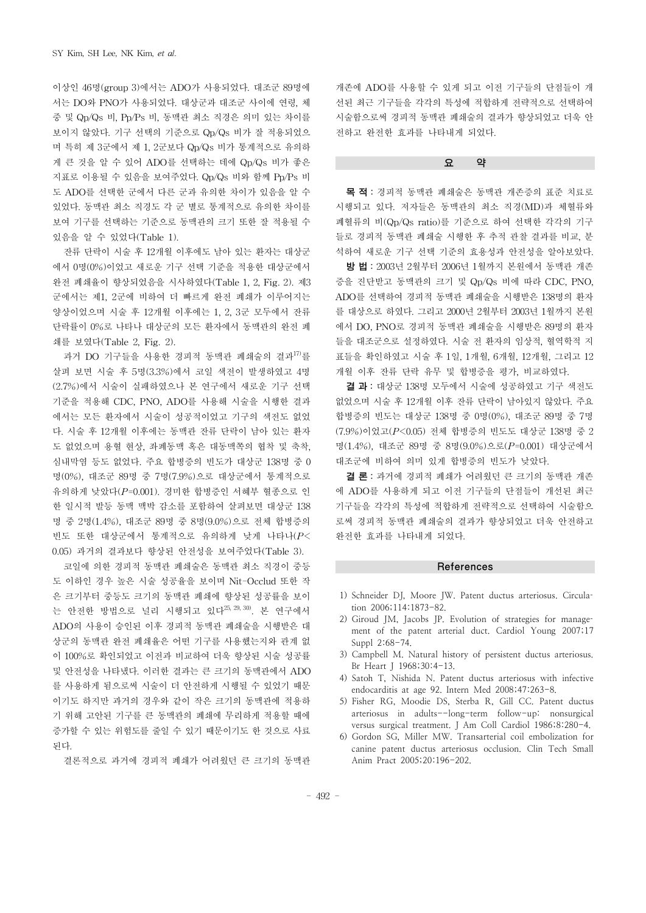이상인 46명(group 3)에서는 ADO가 사용되었다. 대조군 89명에 서는 DO와 PNO가 사용되었다. 대상군과 대조군 사이에 연령, 체 중 및 Qp/Qs 비, Pp/Ps 비, 동맥관 최소 직경은 의미 있는 차이를 보이지 않았다.기구 선택의 기준으로 Qp/Qs비가 잘 적용되었으 며 특히 제 3군에서 제 1,2군보다 Qp/Qs비가 통계적으로 유의하 게 큰 것을 알 수 있어 ADO를 선택하는 데에 Qp/Qs 비가 좋은 지표로 이용될 수 있음을 보여주었다. Qp/Qs 비와 함께 Pp/Ps 비 도 ADO를 선택한 군에서 다른 군과 유의한 차이가 있음을 알 수 있었다.동맥관 최소 직경도 각 군 별로 통계적으로 유의한 차이를 보여 기구를 선택하는 기준으로 동맥관의 크기 또한 잘 적용될 수 있음을 알 수 있었다(Table1).

잔류 단락이 시술 후 12개월 이후에도 남아 있는 환자는 대상군 에서 0명(0%)이었고 새로운 기구 선택 기준을 적용한 대상군에서 완전 폐쇄율이 향상되었음을 시사하였다(Table 1, 2, Fig. 2). 제3 군에서는 제1,2군에 비하여 더 빠르게 완전 폐쇄가 이루어지는 양상이었으며 시술 후 12개월 이후에는 1, 2, 3군 모두에서 잔류 단락률이 0%로 나타나 대상군의 모든 환자에서 동맥관의 완전 폐 쇄를 보였다(Table 2, Fig. 2).

과거 DO 기구들을 사용한 경피적 동맥관 폐쇄술의 결과<sup>17)</sup>를 살펴 보면 시술 후 5명(3.3%)에서 코일 색전이 발생하였고 4명 (2.7%)에서 시술이 실패하였으나 본 연구에서 새로운 기구 선택 기준을 적용해 CDC,PNO,ADO를 사용해 시술을 시행한 결과 에서는 모든 환자에서 시술이 성공적이었고 기구의 색전도 없었 다.시술 후 12개월 이후에는 동맥관 잔류 단락이 남아 있는 환자 도 없었으며 용혈 현상,좌폐동맥 혹은 대동맥쪽의 협착 및 축착, 심내막염 등도 없었다. 주요 합병증의 빈도가 대상군 138명 중 0 명(0%),대조군 89명 중 7명(7.9%)으로 대상군에서 통계적으로 유의하게 낮았다(*P*=0.001).경미한 합병증인 서혜부 혈종으로 인 한 일시적 발등 동맥 맥박 감소를 포함하여 살펴보면 대상군 138 명 중 2명(1.4%),대조군 89명 중 8명(9.0%)으로 전체 합병증의 빈도 또한 대상군에서 통계적으로 유의하게 낮게 나타나(*P*< 0.05)과거의 결과보다 향상된 안전성을 보여주었다(Table3).

코일에 의한 경피적 동맥관 폐쇄술은 동맥관 최소 직경이 중등 도 이하인 경우 높은 시술 성공율을 보이며 Nit-Occlud 또한 작 은 크기부터 중등도 크기의 동맥관 폐쇄에 향상된 성공률을 보이 는 안전한 방법으로 널리 시행되고 있다<sup>25, 29,30)</sup>. 본 연구에서 ADO의 사용이 승인된 이후 경피적 동맥관 폐쇄술을 시행받은 대 상군의 동맥관 완전 폐쇄율은 어떤 기구를 사용했는지와 관계 없 이 100%로 확인되었고 이전과 비교하여 더욱 향상된 시술 성공률 및 안전성을 나타냈다.이러한 결과는 큰 크기의 동맥관에서 ADO 를 사용하게 됨으로써 시술이 더 안전하게 시행될 수 있었기 때문 이기도 하지만 과거의 경우와 같이 작은 크기의 동맥관에 적용하 기 위해 고안된 기구를 큰 동맥관의 폐쇄에 무리하게 적용할 때에 증가할 수 있는 위험도를 줄일 수 있기 때문이기도 한 것으로 사료 된다.

결론적으로 과거에 경피적 폐쇄가 어려웠던 큰 크기의 동맥관

개존에 ADO를 사용할 수 있게 되고 이전 기구들의 단점들이 개 선된 최근 기구들을 각각의 특성에 적합하게 전략적으로 선택하여 시술함으로써 경피적 동맥관 폐쇄술의 결과가 향상되었고 더욱 안 전하고 완전한 효과를 나타내게 되었다.

## 요 약

목 적 :경피적 동맥관 폐쇄술은 동맥관 개존증의 표준 치료로 시행되고 있다.저자들은 동맥관의 최소 직경(MD)과 체혈류와 폐혈류의 비(Qp/Qsratio)를 기준으로 하여 선택한 각각의 기구 들로 경피적 동맥관 폐쇄술 시행한 후 추적 관찰 결과를 비교,분 석하여 새로운 기구 선택 기준의 효용성과 안전성을 알아보았다.

방 법 :2003년 2월부터 2006년 1월까지 본원에서 동맥관 개존 증을 진단받고 동맥관의 크기 및 Qp/Qs 비에 따라 CDC, PNO, ADO를 선택하여 경피적 동맥관 폐쇄술을 시행받은 138명의 환자 를 대상으로 하였다.그리고 2000년 2월부터 2003년 1월까지 본원 에서 DO,PNO로 경피적 동맥관 폐쇄술을 시행받은 89명의 환자 들을 대조군으로 설정하였다.시술 전 환자의 임상적,혈역학적 지 표들을 확인하였고 시술 후 1일,1개월,6개월,12개월,그리고 12 개월 이후 잔류 단락 유무 및 합병증을 평가,비교하였다.

결 과 : 대상군 138명 모두에서 시술에 성공하였고 기구 색전도 없었으며 시술 후 12개월 이후 잔류 단락이 남아있지 않았다. 주요 합병증의 빈도는 대상군 138명 중 0명(0%),대조군 89명 중 7명 (7.9%)이었고(*P*<0.05)전체 합병증의 빈도도 대상군 138명 중 2 명(1.4%),대조군 89명 중 8명(9.0%)으로(*P*=0.001)대상군에서 대조군에 비하여 의미 있게 합병증의 빈도가 낮았다.

결 론 :과거에 경피적 폐쇄가 어려웠던 큰 크기의 동맥관 개존 에 ADO를 사용하게 되고 이전 기구들의 단점들이 개선된 최근 기구들을 각각의 특성에 적합하게 전략적으로 선택하여 시술함으 로써 경피적 동맥관 폐쇄술의 결과가 향상되었고 더욱 안전하고 완전한 효과를 나타내게 되었다.

#### References

- 1) Schneider DJ, Moore JW. Patent ductus arteriosus. Circulation 2006;114:1873-82.
- 2) Giroud JM, Jacobs JP. Evolution of strategies for management of the patent arterial duct. Cardiol Young 2007;17 Suppl 2:68-74.
- 3) Campbell M. Natural history of persistent ductus arteriosus. Br Heart J 1968;30:4-13.
- 4) Satoh T, Nishida N. Patent ductus arteriosus with infective endocarditis at age 92. Intern Med 2008;47:263-8.
- 5) Fisher RG, Moodie DS, Sterba R, Gill CC. Patent ductus arteriosus in adults--long-term follow-up: nonsurgical versus surgical treatment. J Am Coll Cardiol 1986;8:280-4.
- 6) Gordon SG, Miller MW. Transarterial coil embolization for canine patent ductus arteriosus occlusion. Clin Tech Small Anim Pract 2005;20:196-202.